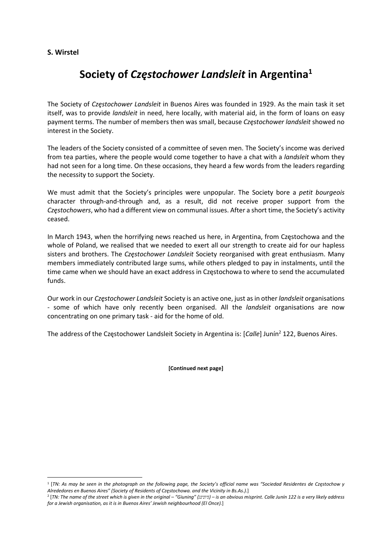## S. Wirstel

## Society of Częstochower Landsleit in Argentina<sup>1</sup>

The Society of Częstochower Landsleit in Buenos Aires was founded in 1929. As the main task it set itself, was to provide landsleit in need, here locally, with material aid, in the form of loans on easy payment terms. The number of members then was small, because Częstochower landsleit showed no interest in the Society.

The leaders of the Society consisted of a committee of seven men. The Society's income was derived from tea parties, where the people would come together to have a chat with a *landsleit* whom they had not seen for a long time. On these occasions, they heard a few words from the leaders regarding the necessity to support the Society.

We must admit that the Society's principles were unpopular. The Society bore a petit bourgeois character through-and-through and, as a result, did not receive proper support from the Częstochowers, who had a different view on communal issues. After a short time, the Society's activity ceased.

In March 1943, when the horrifying news reached us here, in Argentina, from Częstochowa and the whole of Poland, we realised that we needed to exert all our strength to create aid for our hapless sisters and brothers. The Częstochower Landsleit Society reorganised with great enthusiasm. Many members immediately contributed large sums, while others pledged to pay in instalments, until the time came when we should have an exact address in Częstochowa to where to send the accumulated funds.

Our work in our Częstochower Landsleit Society is an active one, just as in other landsleit organisations - some of which have only recently been organised. All the *landsleit* organisations are now concentrating on one primary task - aid for the home of old.

The address of the Częstochower Landsleit Society in Argentina is: [Calle] Junín<sup>2</sup> 122, Buenos Aires.

[Continued next page]

<sup>1</sup> [TN: As may be seen in the photograph on the following page, the Society's official name was "Sociedad Residentes de Częstochow y Alrededores en Buenos Aires" (Society of Residents of Częstochowa. and the Vicinity in Bs.As.).]

<sup>2</sup> [TN: The name of the street which is given in the original – "Giuning" (גיונינג – (is an obvious misprint. Calle Junín 122 is a very likely address for a Jewish organisation, as it is in Buenos Aires' Jewish neighbourhood (El Once).]